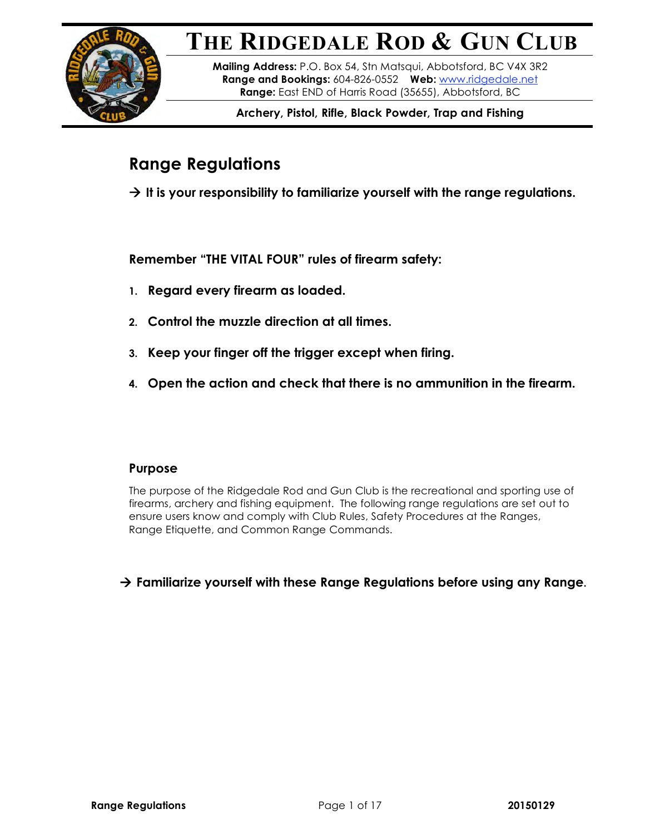# **THE RIDGEDALE ROD & GUN CLUB**



**Mailing Address:** P.O. Box 54, Stn Matsqui, Abbotsford, BC V4X 3R2 **Range and Bookings:** 604-826-0552 **Web:** www.ridgedale.net **Range:** East END of Harris Road (35655), Abbotsford, BC

**Archery, Pistol, Rifle, Black Powder, Trap and Fishing**

## **Range Regulations**

 $\rightarrow$  It is your responsibility to familiarize yourself with the range regulations.

**Remember "THE VITAL FOUR" rules of firearm safety:**

- **1. Regard every firearm as loaded.**
- **2. Control the muzzle direction at all times.**
- **3. Keep your finger off the trigger except when firing.**
- **4. Open the action and check that there is no ammunition in the firearm.**

### **Purpose**

The purpose of the Ridgedale Rod and Gun Club is the recreational and sporting use of firearms, archery and fishing equipment. The following range regulations are set out to ensure users know and comply with Club Rules, Safety Procedures at the Ranges, Range Etiquette, and Common Range Commands.

**Familiarize yourself with these Range Regulations before using any Range.**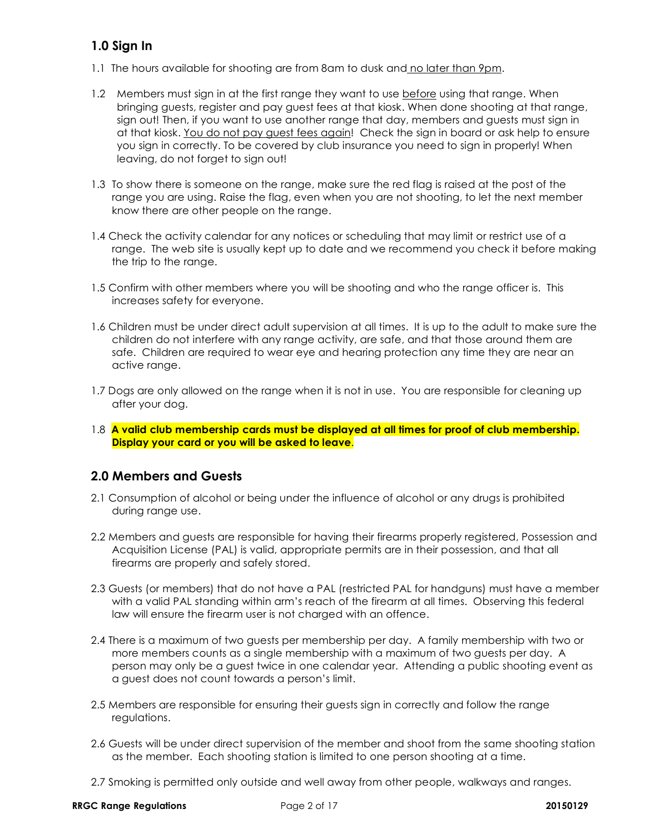### **1.0 Sign In**

- 1.1 The hours available for shooting are from 8am to dusk and no later than 9pm.
- 1.2 Members must sign in at the first range they want to use before using that range. When bringing guests, register and pay guest fees at that kiosk. When done shooting at that range, sign out! Then, if you want to use another range that day, members and guests must sign in at that kiosk. You do not pay guest fees again! Check the sign in board or ask help to ensure you sign in correctly. To be covered by club insurance you need to sign in properly! When leaving, do not forget to sign out!
- 1.3 To show there is someone on the range, make sure the red flag is raised at the post of the range you are using. Raise the flag, even when you are not shooting, to let the next member know there are other people on the range.
- 1.4 Check the activity calendar for any notices or scheduling that may limit or restrict use of a range. The web site is usually kept up to date and we recommend you check it before making the trip to the range.
- 1.5 Confirm with other members where you will be shooting and who the range officer is. This increases safety for everyone.
- 1.6 Children must be under direct adult supervision at all times. It is up to the adult to make sure the children do not interfere with any range activity, are safe, and that those around them are safe. Children are required to wear eye and hearing protection any time they are near an active range.
- 1.7 Dogs are only allowed on the range when it is not in use. You are responsible for cleaning up after your dog.
- 1.8 **A valid club membership cards must be displayed at all times for proof of club membership. Display your card or you will be asked to leave**.

### **2.0 Members and Guests**

- 2.1 Consumption of alcohol or being under the influence of alcohol or any drugs is prohibited during range use.
- 2.2 Members and guests are responsible for having their firearms properly registered, Possession and Acquisition License (PAL) is valid, appropriate permits are in their possession, and that all firearms are properly and safely stored.
- 2.3 Guests (or members) that do not have a PAL (restricted PAL for handguns) must have a member with a valid PAL standing within arm's reach of the firearm at all times. Observing this federal law will ensure the firearm user is not charged with an offence.
- 2.4 There is a maximum of two guests per membership per day. A family membership with two or more members counts as a single membership with a maximum of two guests per day. A person may only be a guest twice in one calendar year. Attending a public shooting event as a guest does not count towards a person's limit.
- 2.5 Members are responsible for ensuring their guests sign in correctly and follow the range regulations.
- 2.6 Guests will be under direct supervision of the member and shoot from the same shooting station as the member. Each shooting station is limited to one person shooting at a time.
- 2.7 Smoking is permitted only outside and well away from other people, walkways and ranges.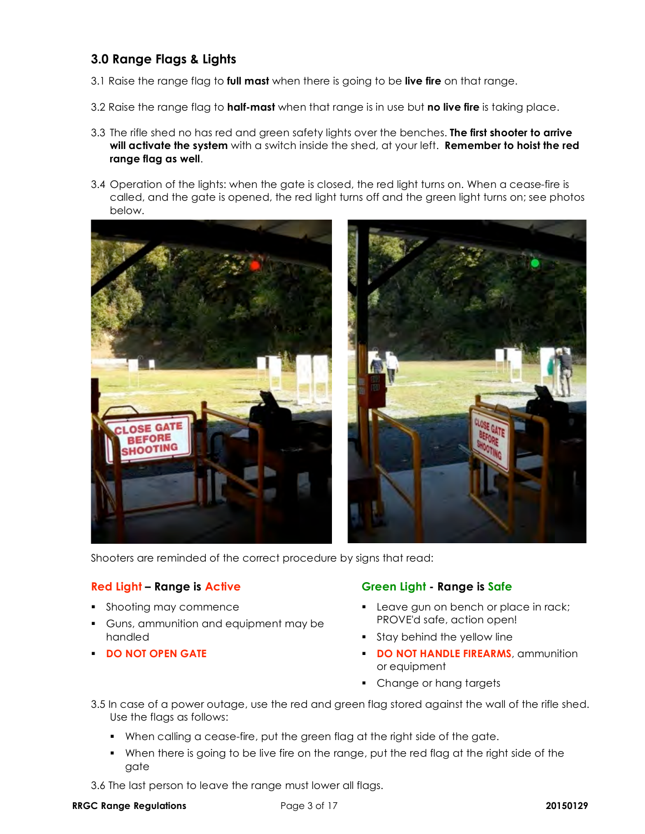### **3.0 Range Flags & Lights**

- 3.1 Raise the range flag to **full mast** when there is going to be **live fire** on that range.
- 3.2 Raise the range flag to **half-mast** when that range is in use but **no live fire** is taking place.
- 3.3 The rifle shed no has red and green safety lights over the benches. **The first shooter to arrive will activate the system** with a switch inside the shed, at your left. **Remember to hoist the red range flag as well**.
- 3.4 Operation of the lights: when the gate is closed, the red light turns on. When a cease-fire is called, and the gate is opened, the red light turns off and the green light turns on; see photos below.





Shooters are reminded of the correct procedure by signs that read:

- **Shooting may commence**
- Guns, ammunition and equipment may be handled
- **DO NOT OPEN GATE**

### **Red Light – Range is Active Green Light - Range is Safe**

- Leave gun on bench or place in rack; PROVE'd safe, action open!
- **Stay behind the yellow line**
- **DO NOT HANDLE FIREARMS**, ammunition or equipment
- Change or hang targets
- 3.5 In case of a power outage, use the red and green flag stored against the wall of the rifle shed. Use the flags as follows:
	- When calling a cease-fire, put the green flag at the right side of the gate.
	- When there is going to be live fire on the range, put the red flag at the right side of the gate
- 3.6 The last person to leave the range must lower all flags.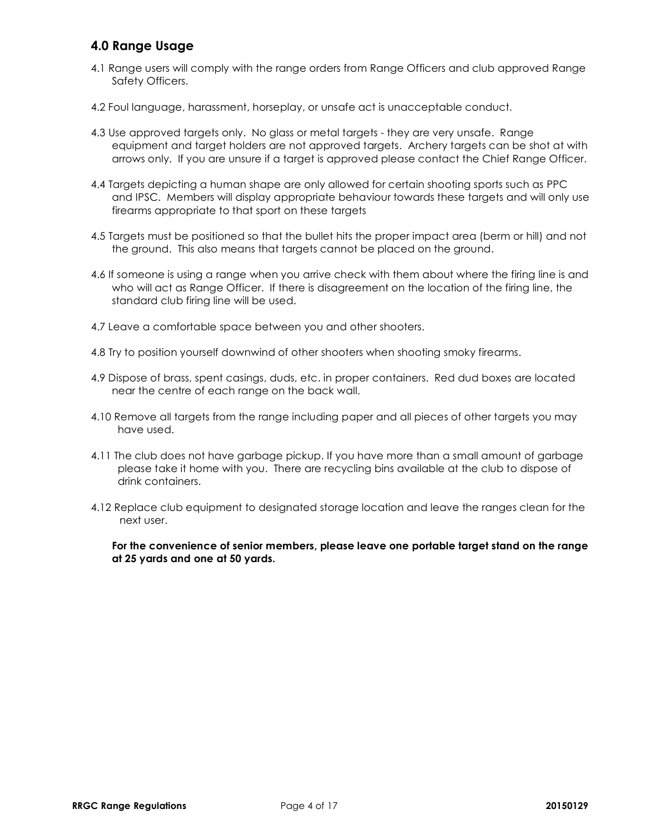### **4.0 Range Usage**

- 4.1 Range users will comply with the range orders from Range Officers and club approved Range Safety Officers.
- 4.2 Foul language, harassment, horseplay, or unsafe act is unacceptable conduct.
- 4.3 Use approved targets only. No glass or metal targets they are very unsafe. Range equipment and target holders are not approved targets. Archery targets can be shot at with arrows only. If you are unsure if a target is approved please contact the Chief Range Officer.
- 4.4 Targets depicting a human shape are only allowed for certain shooting sports such as PPC and IPSC. Members will display appropriate behaviour towards these targets and will only use firearms appropriate to that sport on these targets
- 4.5 Targets must be positioned so that the bullet hits the proper impact area (berm or hill) and not the ground. This also means that targets cannot be placed on the ground.
- 4.6 If someone is using a range when you arrive check with them about where the firing line is and who will act as Range Officer. If there is disagreement on the location of the firing line, the standard club firing line will be used.
- 4.7 Leave a comfortable space between you and other shooters.
- 4.8 Try to position yourself downwind of other shooters when shooting smoky firearms.
- 4.9 Dispose of brass, spent casings, duds, etc. in proper containers. Red dud boxes are located near the centre of each range on the back wall.
- 4.10 Remove all targets from the range including paper and all pieces of other targets you may have used.
- 4.11 The club does not have garbage pickup. If you have more than a small amount of garbage please take it home with you. There are recycling bins available at the club to dispose of drink containers.
- 4.12 Replace club equipment to designated storage location and leave the ranges clean for the next user.

**For the convenience of senior members, please leave one portable target stand on the range at 25 yards and one at 50 yards.**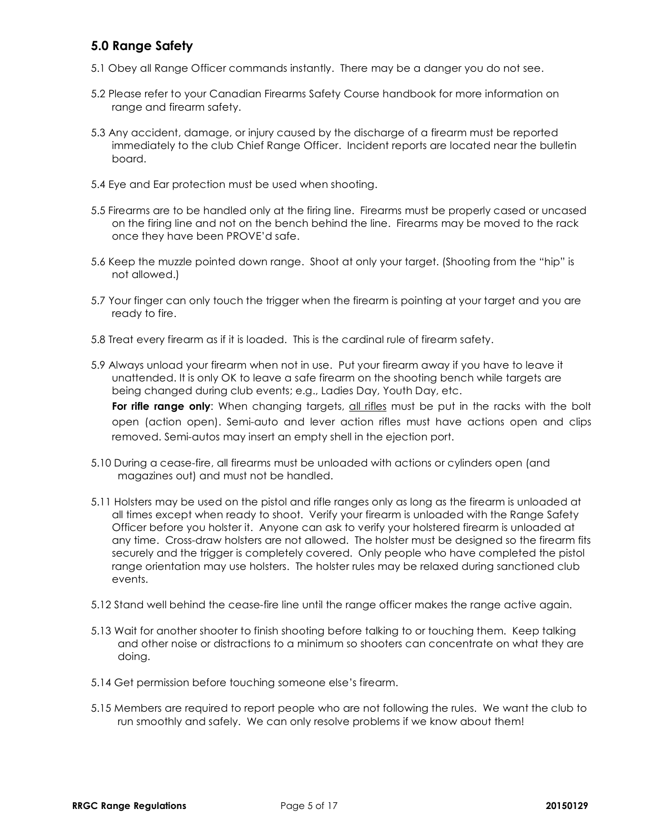### **5.0 Range Safety**

- 5.1 Obey all Range Officer commands instantly. There may be a danger you do not see.
- 5.2 Please refer to your Canadian Firearms Safety Course handbook for more information on range and firearm safety.
- 5.3 Any accident, damage, or injury caused by the discharge of a firearm must be reported immediately to the club Chief Range Officer. Incident reports are located near the bulletin board.
- 5.4 Eye and Ear protection must be used when shooting.
- 5.5 Firearms are to be handled only at the firing line. Firearms must be properly cased or uncased on the firing line and not on the bench behind the line. Firearms may be moved to the rack once they have been PROVE'd safe.
- 5.6 Keep the muzzle pointed down range. Shoot at only your target. (Shooting from the "hip" is not allowed.)
- 5.7 Your finger can only touch the trigger when the firearm is pointing at your target and you are ready to fire.
- 5.8 Treat every firearm as if it is loaded. This is the cardinal rule of firearm safety.
- 5.9 Always unload your firearm when not in use. Put your firearm away if you have to leave it unattended. It is only OK to leave a safe firearm on the shooting bench while targets are being changed during club events; e.g., Ladies Day, Youth Day, etc.

For rifle range only: When changing targets, all rifles must be put in the racks with the bolt open (action open). Semi-auto and lever action rifles must have actions open and clips removed. Semi-autos may insert an empty shell in the ejection port.

- 5.10 During a cease-fire, all firearms must be unloaded with actions or cylinders open (and magazines out) and must not be handled.
- 5.11 Holsters may be used on the pistol and rifle ranges only as long as the firearm is unloaded at all times except when ready to shoot. Verify your firearm is unloaded with the Range Safety Officer before you holster it. Anyone can ask to verify your holstered firearm is unloaded at any time. Cross-draw holsters are not allowed. The holster must be designed so the firearm fits securely and the trigger is completely covered. Only people who have completed the pistol range orientation may use holsters. The holster rules may be relaxed during sanctioned club events.
- 5.12 Stand well behind the cease-fire line until the range officer makes the range active again.
- 5.13 Wait for another shooter to finish shooting before talking to or touching them. Keep talking and other noise or distractions to a minimum so shooters can concentrate on what they are doing.
- 5.14 Get permission before touching someone else's firearm.
- 5.15 Members are required to report people who are not following the rules. We want the club to run smoothly and safely. We can only resolve problems if we know about them!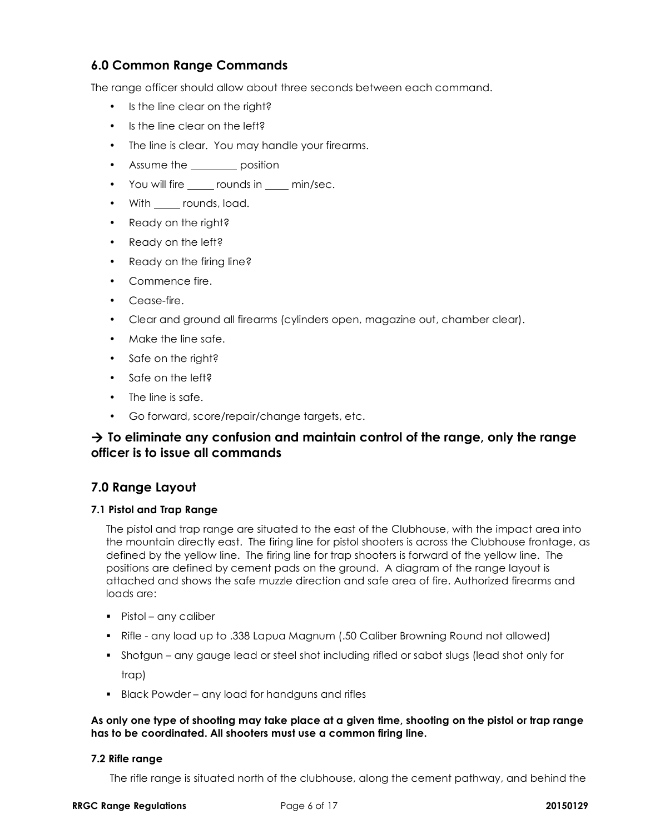### **6.0 Common Range Commands**

The range officer should allow about three seconds between each command.

- Is the line clear on the right?
- Is the line clear on the left?
- The line is clear. You may handle your firearms.
- Assume the **extending contain to position**
- You will fire \_\_\_\_\_ rounds in \_\_\_\_ min/sec.
- With <u>counds</u>, load.
- Ready on the right?
- Ready on the left?
- Ready on the firing line?
- Commence fire.
- Cease-fire.
- Clear and ground all firearms (cylinders open, magazine out, chamber clear).
- Make the line safe.
- Safe on the right?
- Safe on the left?
- The line is safe.
- Go forward, score/repair/change targets, etc.

### **To eliminate any confusion and maintain control of the range, only the range officer is to issue all commands**

### **7.0 Range Layout**

#### **7.1 Pistol and Trap Range**

The pistol and trap range are situated to the east of the Clubhouse, with the impact area into the mountain directly east. The firing line for pistol shooters is across the Clubhouse frontage, as defined by the yellow line. The firing line for trap shooters is forward of the yellow line. The positions are defined by cement pads on the ground. A diagram of the range layout is attached and shows the safe muzzle direction and safe area of fire. Authorized firearms and loads are:

- Pistol any caliber
- Rifle any load up to .338 Lapua Magnum (.50 Caliber Browning Round not allowed)
- Shotgun any gauge lead or steel shot including rifled or sabot slugs (lead shot only for trap)
- **Black Powder any load for handguns and rifles**

#### **As only one type of shooting may take place at a given time, shooting on the pistol or trap range has to be coordinated. All shooters must use a common firing line.**

#### **7.2 Rifle range**

The rifle range is situated north of the clubhouse, along the cement pathway, and behind the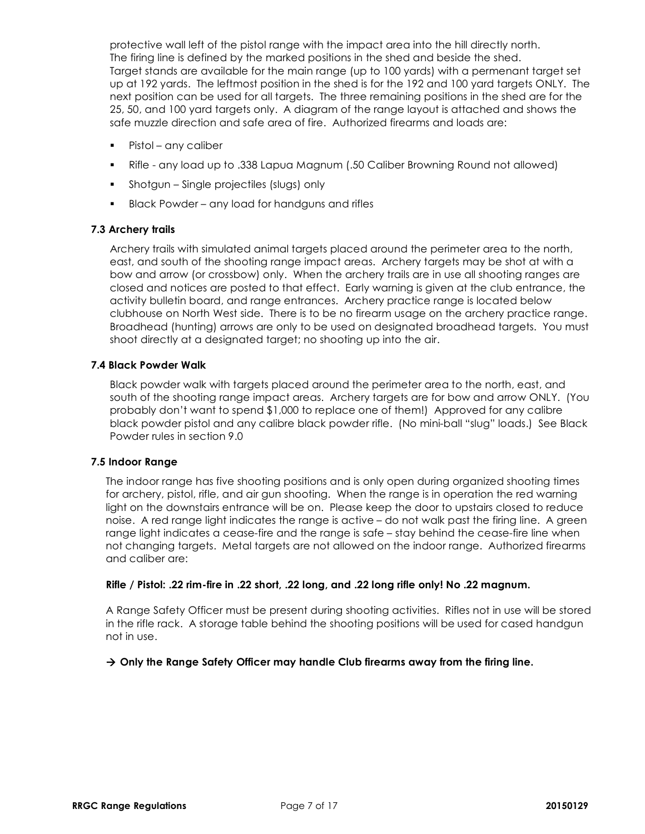protective wall left of the pistol range with the impact area into the hill directly north. The firing line is defined by the marked positions in the shed and beside the shed. Target stands are available for the main range (up to 100 yards) with a permenant target set up at 192 yards. The leftmost position in the shed is for the 192 and 100 yard targets ONLY. The next position can be used for all targets. The three remaining positions in the shed are for the 25, 50, and 100 yard targets only. A diagram of the range layout is attached and shows the safe muzzle direction and safe area of fire. Authorized firearms and loads are:

- Pistol any caliber
- Rifle any load up to .338 Lapua Magnum (.50 Caliber Browning Round not allowed)
- Shotgun Single projectiles (slugs) only
- Black Powder any load for handguns and rifles

#### **7.3 Archery trails**

Archery trails with simulated animal targets placed around the perimeter area to the north, east, and south of the shooting range impact areas. Archery targets may be shot at with a bow and arrow (or crossbow) only. When the archery trails are in use all shooting ranges are closed and notices are posted to that effect. Early warning is given at the club entrance, the activity bulletin board, and range entrances. Archery practice range is located below clubhouse on North West side. There is to be no firearm usage on the archery practice range. Broadhead (hunting) arrows are only to be used on designated broadhead targets. You must shoot directly at a designated target; no shooting up into the air.

#### **7.4 Black Powder Walk**

Black powder walk with targets placed around the perimeter area to the north, east, and south of the shooting range impact areas. Archery targets are for bow and arrow ONLY. (You probably don't want to spend \$1,000 to replace one of them!) Approved for any calibre black powder pistol and any calibre black powder rifle. (No mini-ball "slug" loads.) See Black Powder rules in section 9.0

#### **7.5 Indoor Range**

The indoor range has five shooting positions and is only open during organized shooting times for archery, pistol, rifle, and air gun shooting. When the range is in operation the red warning light on the downstairs entrance will be on. Please keep the door to upstairs closed to reduce noise. A red range light indicates the range is active – do not walk past the firing line. A green range light indicates a cease-fire and the range is safe – stay behind the cease-fire line when not changing targets. Metal targets are not allowed on the indoor range. Authorized firearms and caliber are:

#### **Rifle / Pistol: .22 rim-fire in .22 short, .22 long, and .22 long rifle only! No .22 magnum.**

A Range Safety Officer must be present during shooting activities. Rifles not in use will be stored in the rifle rack. A storage table behind the shooting positions will be used for cased handgun not in use.

#### **Only the Range Safety Officer may handle Club firearms away from the firing line.**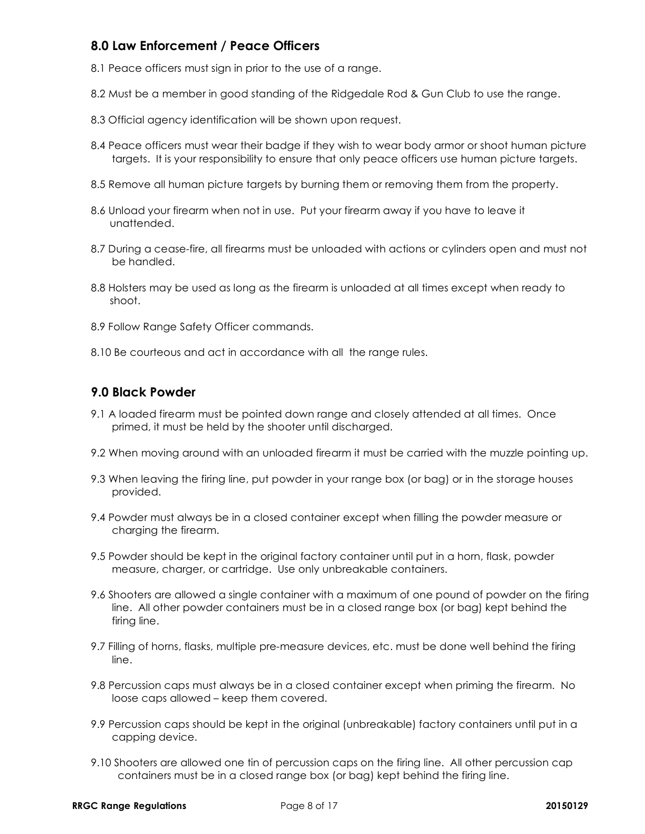### **8.0 Law Enforcement / Peace Officers**

- 8.1 Peace officers must sign in prior to the use of a range.
- 8.2 Must be a member in good standing of the Ridgedale Rod & Gun Club to use the range.
- 8.3 Official agency identification will be shown upon request.
- 8.4 Peace officers must wear their badge if they wish to wear body armor or shoot human picture targets. It is your responsibility to ensure that only peace officers use human picture targets.
- 8.5 Remove all human picture targets by burning them or removing them from the property.
- 8.6 Unload your firearm when not in use. Put your firearm away if you have to leave it unattended.
- 8.7 During a cease-fire, all firearms must be unloaded with actions or cylinders open and must not be handled.
- 8.8 Holsters may be used as long as the firearm is unloaded at all times except when ready to shoot.
- 8.9 Follow Range Safety Officer commands.
- 8.10 Be courteous and act in accordance with all the range rules.

### **9.0 Black Powder**

- 9.1 A loaded firearm must be pointed down range and closely attended at all times. Once primed, it must be held by the shooter until discharged.
- 9.2 When moving around with an unloaded firearm it must be carried with the muzzle pointing up.
- 9.3 When leaving the firing line, put powder in your range box (or bag) or in the storage houses provided.
- 9.4 Powder must always be in a closed container except when filling the powder measure or charging the firearm.
- 9.5 Powder should be kept in the original factory container until put in a horn, flask, powder measure, charger, or cartridge. Use only unbreakable containers.
- 9.6 Shooters are allowed a single container with a maximum of one pound of powder on the firing line. All other powder containers must be in a closed range box (or bag) kept behind the firing line.
- 9.7 Filling of horns, flasks, multiple pre-measure devices, etc. must be done well behind the firing line.
- 9.8 Percussion caps must always be in a closed container except when priming the firearm. No loose caps allowed – keep them covered.
- 9.9 Percussion caps should be kept in the original (unbreakable) factory containers until put in a capping device.
- 9.10 Shooters are allowed one tin of percussion caps on the firing line. All other percussion cap containers must be in a closed range box (or bag) kept behind the firing line.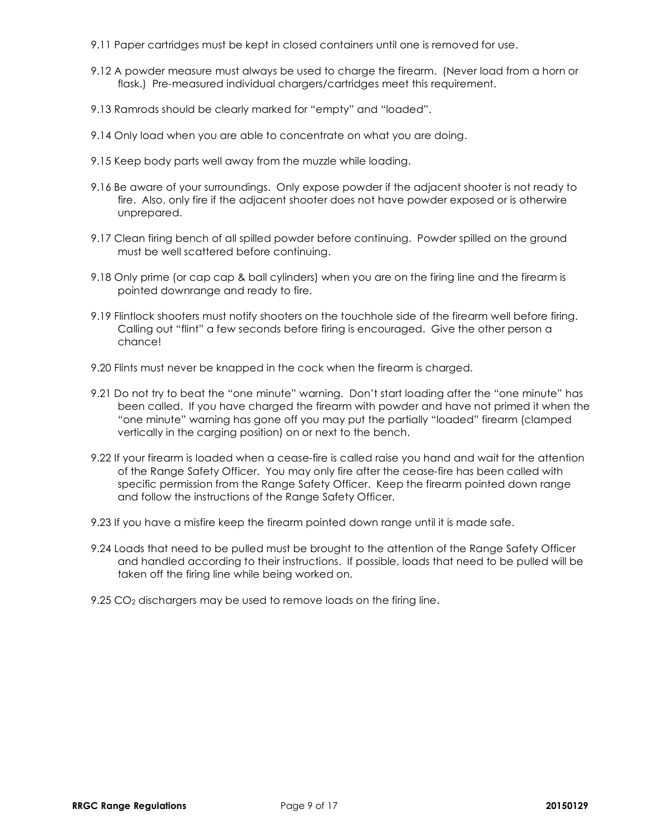- 9.11 Paper cartridges must be kept in closed containers until one is removed for use.
- 9.12 A powder measure must always be used to charge the firearm. (Never load from a horn or flask.) Pre-measured individual chargers/cartridges meet this requirement.
- 9.13 Ramrods should be clearly marked for "empty" and "loaded".
- 9.14 Only load when you are able to concentrate on what you are doing.
- 9.15 Keep body parts well away from the muzzle while loading.
- 9.16 Be aware of your surroundings. Only expose powder if the adjacent shooter is not ready to fire. Also, only fire if the adjacent shooter does not have powder exposed or is otherwire unprepared.
- 9.17 Clean firing bench of all spilled powder before continuing. Powder spilled on the ground must be well scattered before continuing.
- 9.18 Only prime (or cap cap & ball cylinders) when you are on the firing line and the firearm is pointed downrange and ready to fire.
- 9.19 Flintlock shooters must notify shooters on the touchhole side of the firearm well before firing. Calling out "flint" a few seconds before firing is encouraged. Give the other person a chance!
- 9.20 Flints must never be knapped in the cock when the firearm is charged.
- 9.21 Do not try to beat the "one minute" warning. Don't start loading after the "one minute" has been called. If you have charged the firearm with powder and have not primed it when the "one minute" warning has gone off you may put the partially "loaded" firearm (clamped vertically in the carging position) on or next to the bench.
- 9.22 If your firearm is loaded when a cease-fire is called raise you hand and wait for the attention of the Range Safety Officer. You may only fire after the cease-fire has been called with specific permission from the Range Safety Officer. Keep the firearm pointed down range and follow the instructions of the Range Safety Officer.
- 9.23 If you have a misfire keep the firearm pointed down range until it is made safe.
- 9.24 Loads that need to be pulled must be brought to the attention of the Range Safety Officer and handled according to their instructions. If possible, loads that need to be pulled will be taken off the firing line while being worked on.
- 9.25  $CO<sub>2</sub>$  dischargers may be used to remove loads on the firing line.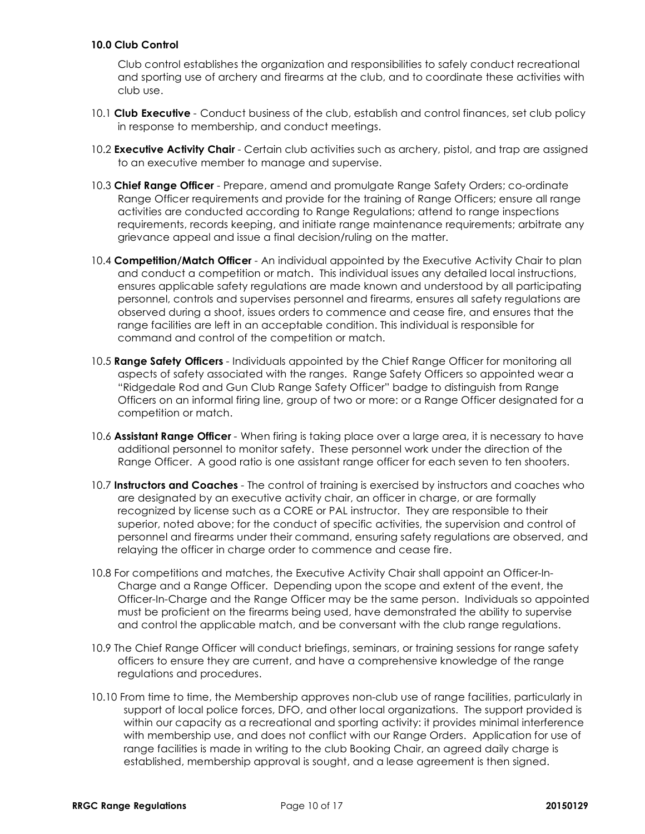#### **10.0 Club Control**

Club control establishes the organization and responsibilities to safely conduct recreational and sporting use of archery and firearms at the club, and to coordinate these activities with club use.

- 10.1 **Club Executive** Conduct business of the club, establish and control finances, set club policy in response to membership, and conduct meetings.
- 10.2 **Executive Activity Chair** Certain club activities such as archery, pistol, and trap are assigned to an executive member to manage and supervise.
- 10.3 **Chief Range Officer** Prepare, amend and promulgate Range Safety Orders; co-ordinate Range Officer requirements and provide for the training of Range Officers; ensure all range activities are conducted according to Range Regulations; attend to range inspections requirements, records keeping, and initiate range maintenance requirements; arbitrate any grievance appeal and issue a final decision/ruling on the matter.
- 10.4 **Competition/Match Officer** An individual appointed by the Executive Activity Chair to plan and conduct a competition or match. This individual issues any detailed local instructions, ensures applicable safety regulations are made known and understood by all participating personnel, controls and supervises personnel and firearms, ensures all safety regulations are observed during a shoot, issues orders to commence and cease fire, and ensures that the range facilities are left in an acceptable condition. This individual is responsible for command and control of the competition or match.
- 10.5 **Range Safety Officers** Individuals appointed by the Chief Range Officer for monitoring all aspects of safety associated with the ranges. Range Safety Officers so appointed wear a "Ridgedale Rod and Gun Club Range Safety Officer" badge to distinguish from Range Officers on an informal firing line, group of two or more: or a Range Officer designated for a competition or match.
- 10.6 **Assistant Range Officer** When firing is taking place over a large area, it is necessary to have additional personnel to monitor safety. These personnel work under the direction of the Range Officer. A good ratio is one assistant range officer for each seven to ten shooters.
- 10.7 **Instructors and Coaches** The control of training is exercised by instructors and coaches who are designated by an executive activity chair, an officer in charge, or are formally recognized by license such as a CORE or PAL instructor. They are responsible to their superior, noted above; for the conduct of specific activities, the supervision and control of personnel and firearms under their command, ensuring safety regulations are observed, and relaying the officer in charge order to commence and cease fire.
- 10.8 For competitions and matches, the Executive Activity Chair shall appoint an Officer-In-Charge and a Range Officer. Depending upon the scope and extent of the event, the Officer-In-Charge and the Range Officer may be the same person. Individuals so appointed must be proficient on the firearms being used, have demonstrated the ability to supervise and control the applicable match, and be conversant with the club range regulations.
- 10.9 The Chief Range Officer will conduct briefings, seminars, or training sessions for range safety officers to ensure they are current, and have a comprehensive knowledge of the range regulations and procedures.
- 10.10 From time to time, the Membership approves non-club use of range facilities, particularly in support of local police forces, DFO, and other local organizations. The support provided is within our capacity as a recreational and sporting activity: it provides minimal interference with membership use, and does not conflict with our Range Orders. Application for use of range facilities is made in writing to the club Booking Chair, an agreed daily charge is established, membership approval is sought, and a lease agreement is then signed.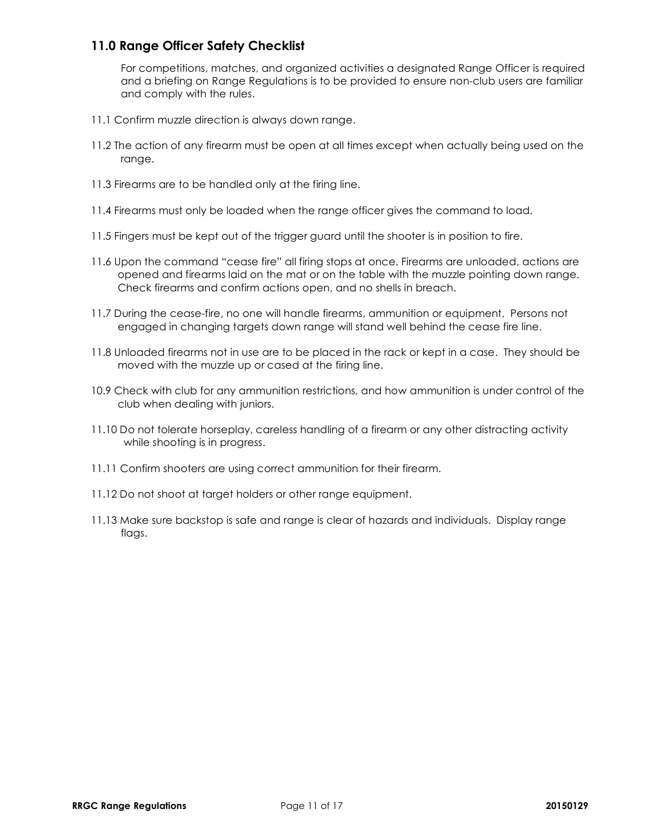### **11.0 Range Officer Safety Checklist**

For competitions, matches, and organized activities a designated Range Officer is required and a briefing on Range Regulations is to be provided to ensure non-club users are familiar and comply with the rules.

- 11.1 Confirm muzzle direction is always down range.
- 11.2 The action of any firearm must be open at all times except when actually being used on the range.
- 11.3 Firearms are to be handled only at the firing line.
- 11.4 Firearms must only be loaded when the range officer gives the command to load.
- 11.5 Fingers must be kept out of the trigger guard until the shooter is in position to fire.
- 11.6 Upon the command "cease fire" all firing stops at once. Firearms are unloaded, actions are opened and firearms laid on the mat or on the table with the muzzle pointing down range. Check firearms and confirm actions open, and no shells in breach.
- 11.7 During the cease-fire, no one will handle firearms, ammunition or equipment. Persons not engaged in changing targets down range will stand well behind the cease fire line.
- 11.8 Unloaded firearms not in use are to be placed in the rack or kept in a case. They should be moved with the muzzle up or cased at the firing line.
- 10.9 Check with club for any ammunition restrictions, and how ammunition is under control of the club when dealing with juniors.
- 11.10 Do not tolerate horseplay, careless handling of a firearm or any other distracting activity while shooting is in progress.
- 11.11 Confirm shooters are using correct ammunition for their firearm.
- 11.12 Do not shoot at target holders or other range equipment.
- 11.13 Make sure backstop is safe and range is clear of hazards and individuals. Display range flags.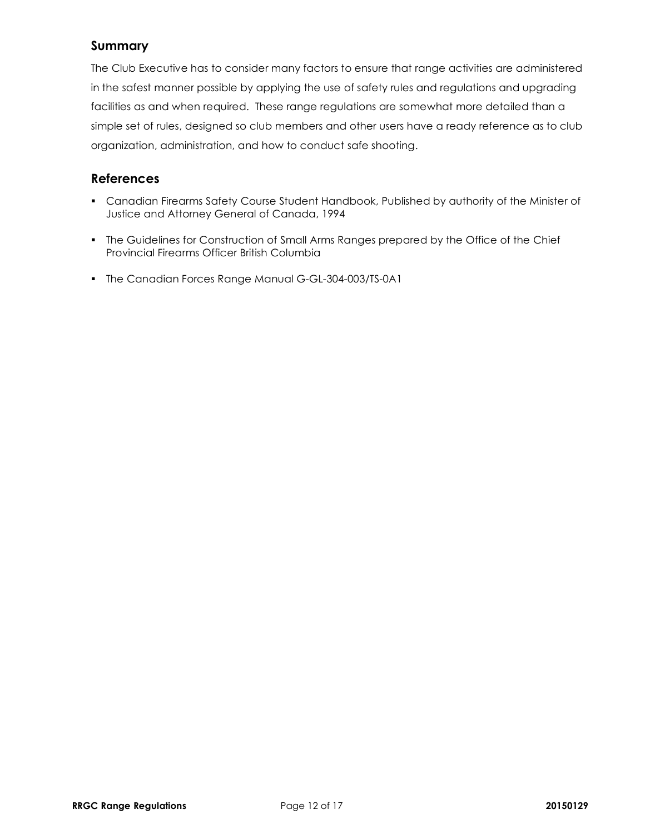### **Summary**

The Club Executive has to consider many factors to ensure that range activities are administered in the safest manner possible by applying the use of safety rules and regulations and upgrading facilities as and when required. These range regulations are somewhat more detailed than a simple set of rules, designed so club members and other users have a ready reference as to club organization, administration, and how to conduct safe shooting.

### **References**

- Canadian Firearms Safety Course Student Handbook, Published by authority of the Minister of Justice and Attorney General of Canada, 1994
- The Guidelines for Construction of Small Arms Ranges prepared by the Office of the Chief Provincial Firearms Officer British Columbia
- The Canadian Forces Range Manual G-GL-304-003/TS-0A1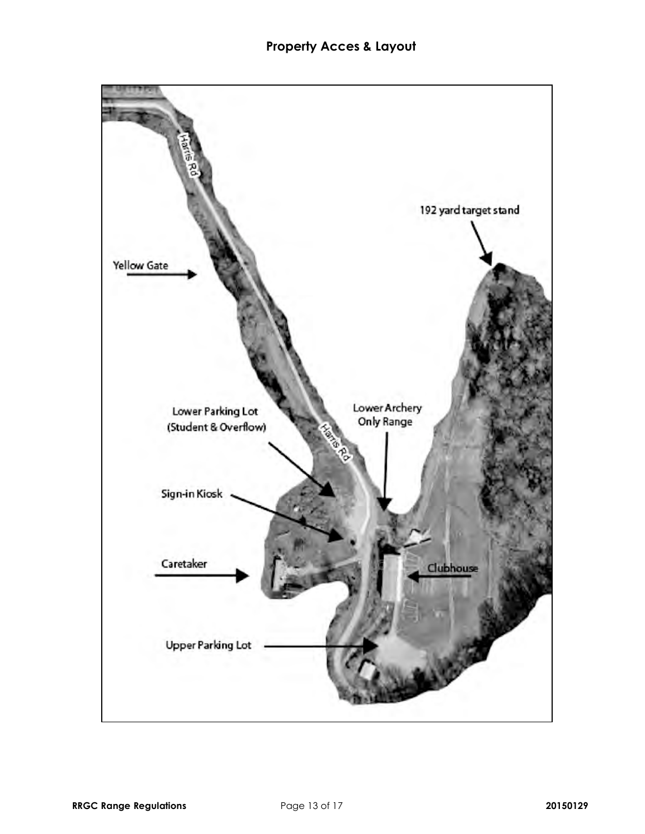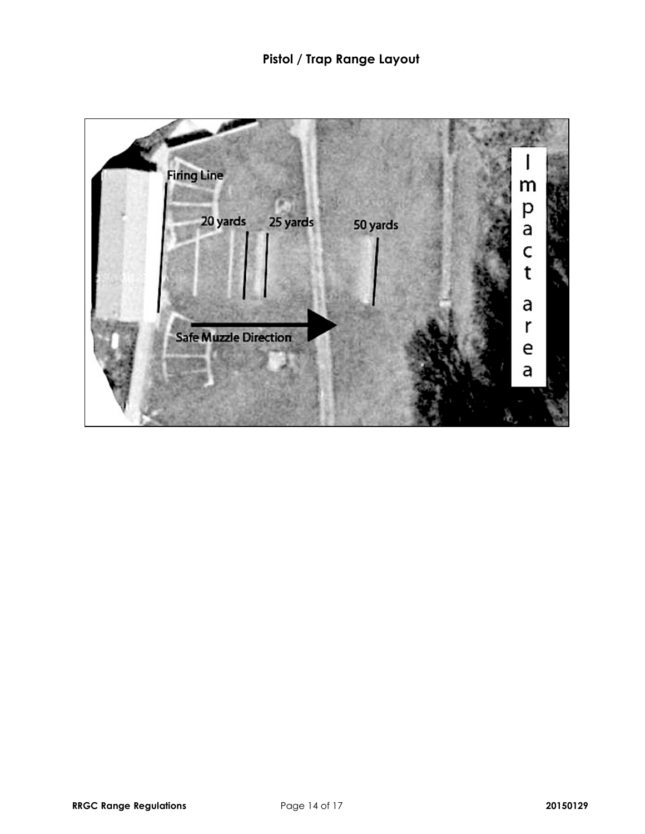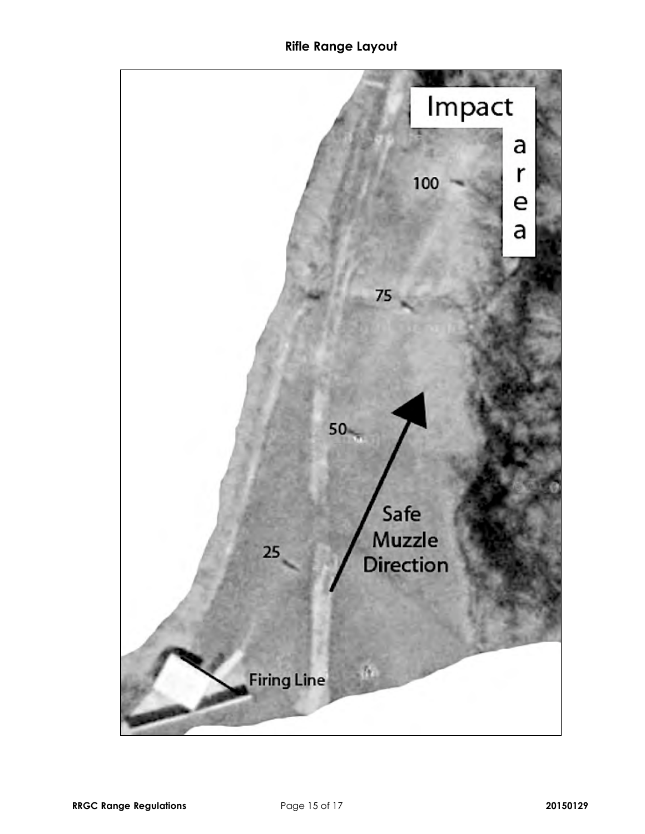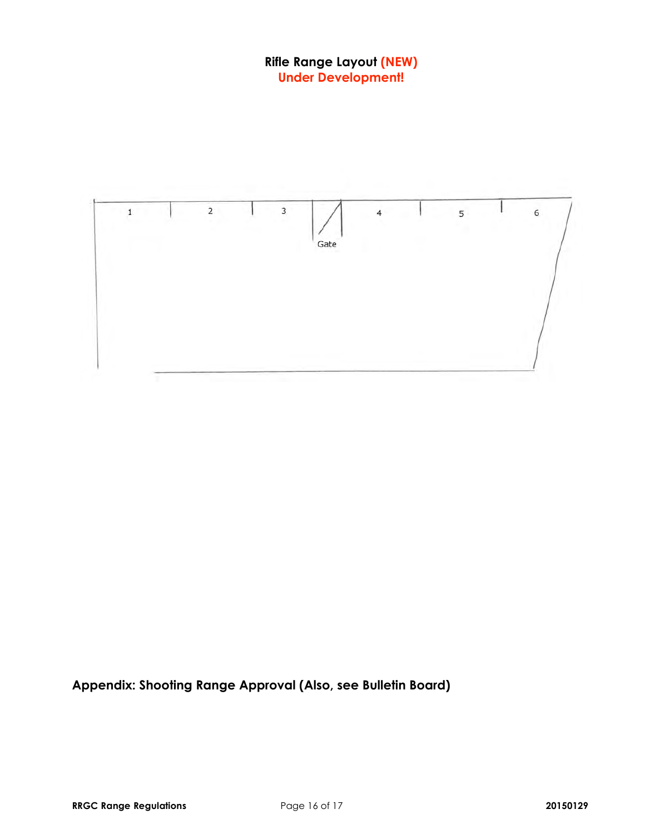### **Rifle Range Layout (NEW) Under Development!**



**Appendix: Shooting Range Approval (Also, see Bulletin Board)**